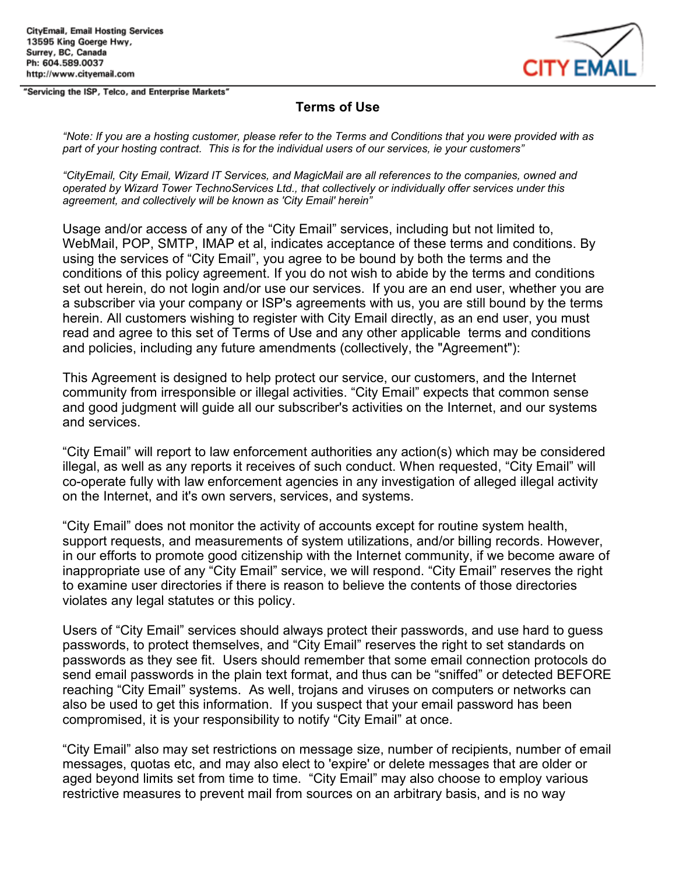"Servicing the ISP, Telco, and Enterprise Markets"



### **Terms of Use**

"Note: If you are a hosting customer, please refer to the Terms and Conditions that you were provided with as *part of your hosting contract. This is for the individual users of our services, ie your customers"*

*"CityEmail, City Email, Wizard IT Services, and MagicMail are all references to the companies, owned and operated by Wizard Tower TechnoServices Ltd., that collectively or individually offer services under this agreement, and collectively will be known as 'City Email' herein"*

Usage and/or access of any of the "City Email" services, including but not limited to, WebMail, POP, SMTP, IMAP et al, indicates acceptance of these terms and conditions. By using the services of "City Email", you agree to be bound by both the terms and the conditions of this policy agreement. If you do not wish to abide by the terms and conditions set out herein, do not login and/or use our services. If you are an end user, whether you are a subscriber via your company or ISP's agreements with us, you are still bound by the terms herein. All customers wishing to register with City Email directly, as an end user, you must read and agree to this set of Terms of Use and any other applicable terms and conditions and policies, including any future amendments (collectively, the "Agreement"):

This Agreement is designed to help protect our service, our customers, and the Internet community from irresponsible or illegal activities. "City Email" expects that common sense and good judgment will guide all our subscriber's activities on the Internet, and our systems and services.

"City Email" will report to law enforcement authorities any action(s) which may be considered illegal, as well as any reports it receives of such conduct. When requested, "City Email" will co-operate fully with law enforcement agencies in any investigation of alleged illegal activity on the Internet, and it's own servers, services, and systems.

"City Email" does not monitor the activity of accounts except for routine system health, support requests, and measurements of system utilizations, and/or billing records. However, in our efforts to promote good citizenship with the Internet community, if we become aware of inappropriate use of any "City Email" service, we will respond. "City Email" reserves the right to examine user directories if there is reason to believe the contents of those directories violates any legal statutes or this policy.

Users of "City Email" services should always protect their passwords, and use hard to guess passwords, to protect themselves, and "City Email" reserves the right to set standards on passwords as they see fit. Users should remember that some email connection protocols do send email passwords in the plain text format, and thus can be "sniffed" or detected BEFORE reaching "City Email" systems. As well, trojans and viruses on computers or networks can also be used to get this information. If you suspect that your email password has been compromised, it is your responsibility to notify "City Email" at once.

"City Email" also may set restrictions on message size, number of recipients, number of email messages, quotas etc, and may also elect to 'expire' or delete messages that are older or aged beyond limits set from time to time. "City Email" may also choose to employ various restrictive measures to prevent mail from sources on an arbitrary basis, and is no way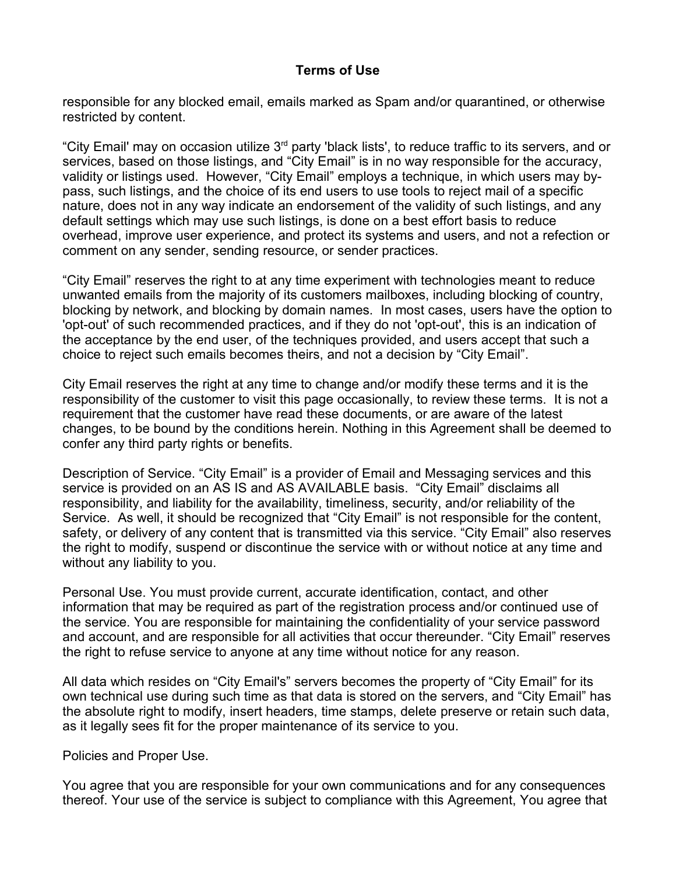responsible for any blocked email, emails marked as Spam and/or quarantined, or otherwise restricted by content.

"City Email' may on occasion utilize 3<sup>rd</sup> party 'black lists', to reduce traffic to its servers, and or services, based on those listings, and "City Email" is in no way responsible for the accuracy, validity or listings used. However, "City Email" employs a technique, in which users may bypass, such listings, and the choice of its end users to use tools to reject mail of a specific nature, does not in any way indicate an endorsement of the validity of such listings, and any default settings which may use such listings, is done on a best effort basis to reduce overhead, improve user experience, and protect its systems and users, and not a refection or comment on any sender, sending resource, or sender practices.

"City Email" reserves the right to at any time experiment with technologies meant to reduce unwanted emails from the majority of its customers mailboxes, including blocking of country, blocking by network, and blocking by domain names. In most cases, users have the option to 'opt-out' of such recommended practices, and if they do not 'opt-out', this is an indication of the acceptance by the end user, of the techniques provided, and users accept that such a choice to reject such emails becomes theirs, and not a decision by "City Email".

City Email reserves the right at any time to change and/or modify these terms and it is the responsibility of the customer to visit this page occasionally, to review these terms. It is not a requirement that the customer have read these documents, or are aware of the latest changes, to be bound by the conditions herein. Nothing in this Agreement shall be deemed to confer any third party rights or benefits.

Description of Service. "City Email" is a provider of Email and Messaging services and this service is provided on an AS IS and AS AVAILABLE basis. "City Email" disclaims all responsibility, and liability for the availability, timeliness, security, and/or reliability of the Service. As well, it should be recognized that "City Email" is not responsible for the content, safety, or delivery of any content that is transmitted via this service. "City Email" also reserves the right to modify, suspend or discontinue the service with or without notice at any time and without any liability to you.

Personal Use. You must provide current, accurate identification, contact, and other information that may be required as part of the registration process and/or continued use of the service. You are responsible for maintaining the confidentiality of your service password and account, and are responsible for all activities that occur thereunder. "City Email" reserves the right to refuse service to anyone at any time without notice for any reason.

All data which resides on "City Email's" servers becomes the property of "City Email" for its own technical use during such time as that data is stored on the servers, and "City Email" has the absolute right to modify, insert headers, time stamps, delete preserve or retain such data, as it legally sees fit for the proper maintenance of its service to you.

Policies and Proper Use.

You agree that you are responsible for your own communications and for any consequences thereof. Your use of the service is subject to compliance with this Agreement, You agree that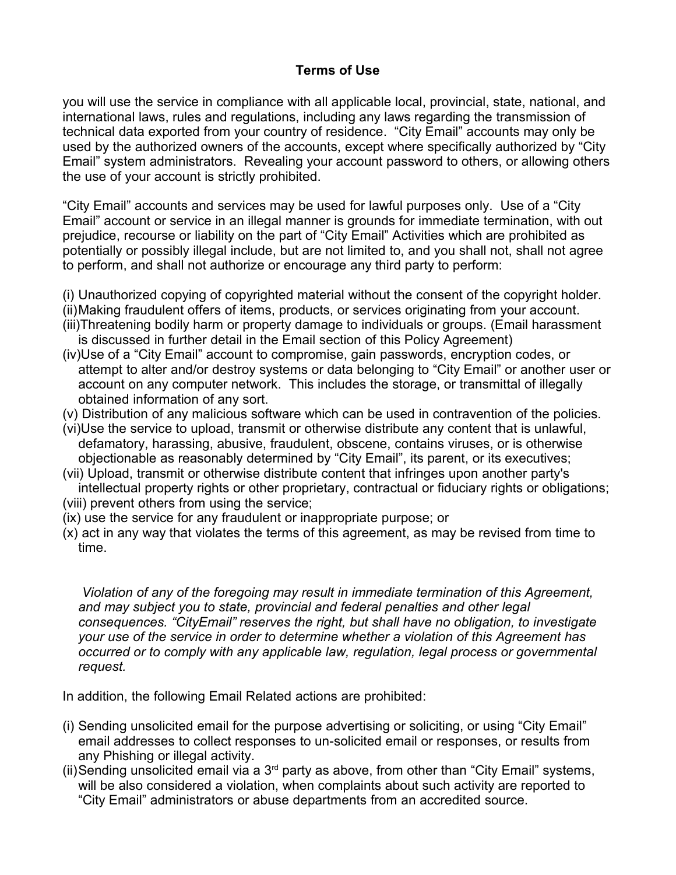you will use the service in compliance with all applicable local, provincial, state, national, and international laws, rules and regulations, including any laws regarding the transmission of technical data exported from your country of residence. "City Email" accounts may only be used by the authorized owners of the accounts, except where specifically authorized by "City Email" system administrators. Revealing your account password to others, or allowing others the use of your account is strictly prohibited.

"City Email" accounts and services may be used for lawful purposes only. Use of a "City Email" account or service in an illegal manner is grounds for immediate termination, with out prejudice, recourse or liability on the part of "City Email" Activities which are prohibited as potentially or possibly illegal include, but are not limited to, and you shall not, shall not agree to perform, and shall not authorize or encourage any third party to perform:

- (i) Unauthorized copying of copyrighted material without the consent of the copyright holder.
- (ii)Making fraudulent offers of items, products, or services originating from your account.
- (iii)Threatening bodily harm or property damage to individuals or groups. (Email harassment is discussed in further detail in the Email section of this Policy Agreement)
- (iv)Use of a "City Email" account to compromise, gain passwords, encryption codes, or attempt to alter and/or destroy systems or data belonging to "City Email" or another user or account on any computer network. This includes the storage, or transmittal of illegally obtained information of any sort.
- (v) Distribution of any malicious software which can be used in contravention of the policies.
- (vi)Use the service to upload, transmit or otherwise distribute any content that is unlawful, defamatory, harassing, abusive, fraudulent, obscene, contains viruses, or is otherwise objectionable as reasonably determined by "City Email", its parent, or its executives;
- (vii) Upload, transmit or otherwise distribute content that infringes upon another party's intellectual property rights or other proprietary, contractual or fiduciary rights or obligations;
- (viii) prevent others from using the service;
- (ix) use the service for any fraudulent or inappropriate purpose; or
- (x) act in any way that violates the terms of this agreement, as may be revised from time to time.

*Violation of any of the foregoing may result in immediate termination of this Agreement, and may subject you to state, provincial and federal penalties and other legal consequences. "CityEmail" reserves the right, but shall have no obligation, to investigate your use of the service in order to determine whether a violation of this Agreement has occurred or to comply with any applicable law, regulation, legal process or governmental request.*

In addition, the following Email Related actions are prohibited:

- (i) Sending unsolicited email for the purpose advertising or soliciting, or using "City Email" email addresses to collect responses to un-solicited email or responses, or results from any Phishing or illegal activity.
- (ii) Sending unsolicited email via a  $3<sup>rd</sup>$  party as above, from other than "City Email" systems, will be also considered a violation, when complaints about such activity are reported to "City Email" administrators or abuse departments from an accredited source.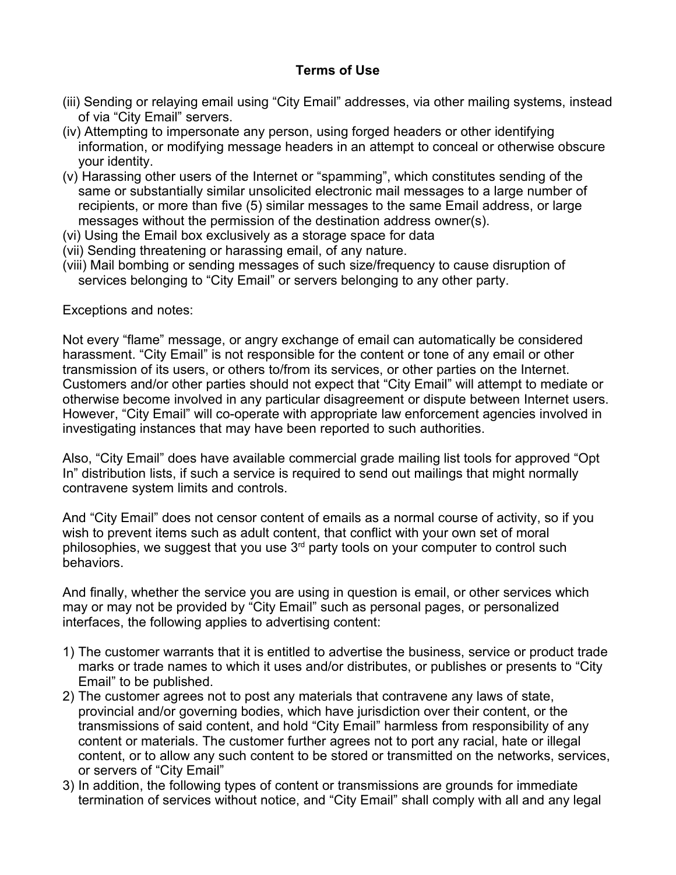- (iii) Sending or relaying email using "City Email" addresses, via other mailing systems, instead of via "City Email" servers.
- (iv) Attempting to impersonate any person, using forged headers or other identifying information, or modifying message headers in an attempt to conceal or otherwise obscure your identity.
- (v) Harassing other users of the Internet or "spamming", which constitutes sending of the same or substantially similar unsolicited electronic mail messages to a large number of recipients, or more than five (5) similar messages to the same Email address, or large messages without the permission of the destination address owner(s).
- (vi) Using the Email box exclusively as a storage space for data
- (vii) Sending threatening or harassing email, of any nature.
- (viii) Mail bombing or sending messages of such size/frequency to cause disruption of services belonging to "City Email" or servers belonging to any other party.

Exceptions and notes:

Not every "flame" message, or angry exchange of email can automatically be considered harassment. "City Email" is not responsible for the content or tone of any email or other transmission of its users, or others to/from its services, or other parties on the Internet. Customers and/or other parties should not expect that "City Email" will attempt to mediate or otherwise become involved in any particular disagreement or dispute between Internet users. However, "City Email" will co-operate with appropriate law enforcement agencies involved in investigating instances that may have been reported to such authorities.

Also, "City Email" does have available commercial grade mailing list tools for approved "Opt In" distribution lists, if such a service is required to send out mailings that might normally contravene system limits and controls.

And "City Email" does not censor content of emails as a normal course of activity, so if you wish to prevent items such as adult content, that conflict with your own set of moral philosophies, we suggest that you use 3<sup>rd</sup> party tools on your computer to control such behaviors.

And finally, whether the service you are using in question is email, or other services which may or may not be provided by "City Email" such as personal pages, or personalized interfaces, the following applies to advertising content:

- 1) The customer warrants that it is entitled to advertise the business, service or product trade marks or trade names to which it uses and/or distributes, or publishes or presents to "City Email" to be published.
- 2) The customer agrees not to post any materials that contravene any laws of state, provincial and/or governing bodies, which have jurisdiction over their content, or the transmissions of said content, and hold "City Email" harmless from responsibility of any content or materials. The customer further agrees not to port any racial, hate or illegal content, or to allow any such content to be stored or transmitted on the networks, services, or servers of "City Email"
- 3) In addition, the following types of content or transmissions are grounds for immediate termination of services without notice, and "City Email" shall comply with all and any legal